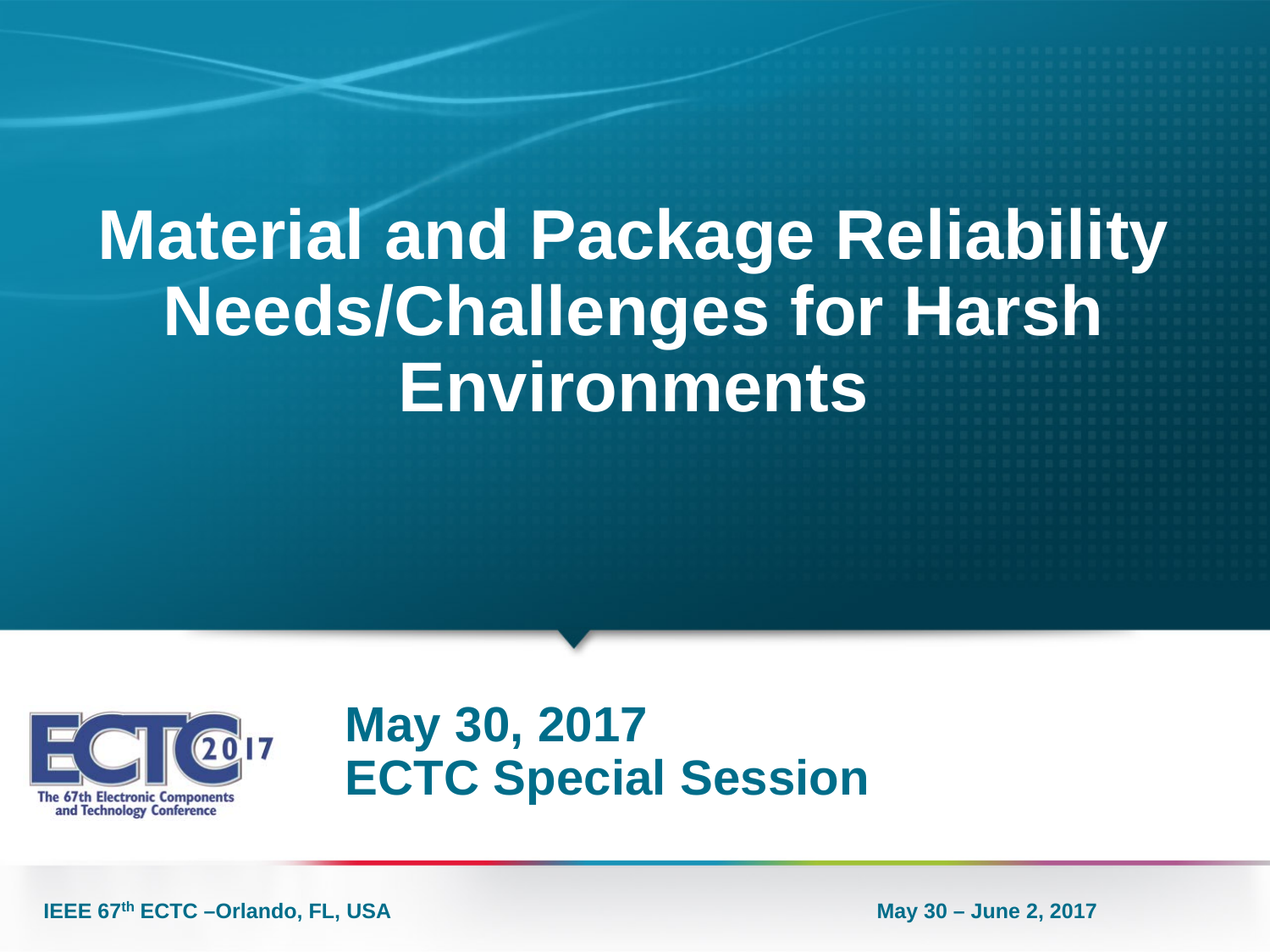# **Material and Package Reliability Needs/Challenges for Harsh Environments**



#### **May 30, 2017 ECTC Special Session**

**IEEE 67th ECTC –Orlando, FL, USA** May 30 – June 2, 2017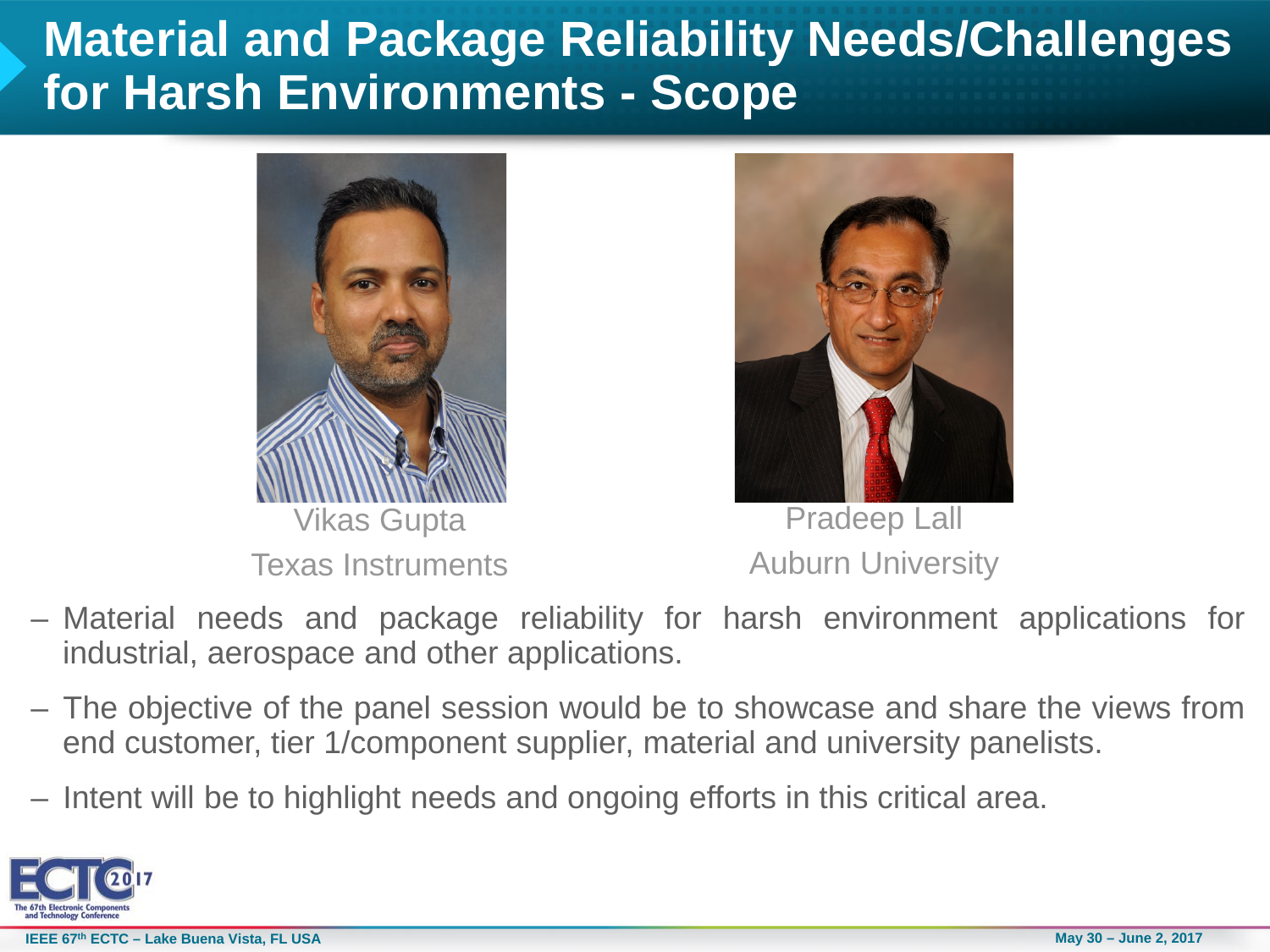# **Material and Package Reliability Needs/Challenges for Harsh Environments - Scope**



Texas Instruments

Pradeep Lall Auburn University

- Material needs and package reliability for harsh environment applications for industrial, aerospace and other applications.
- The objective of the panel session would be to showcase and share the views from end customer, tier 1/component supplier, material and university panelists.
- Intent will be to highlight needs and ongoing efforts in this critical area.

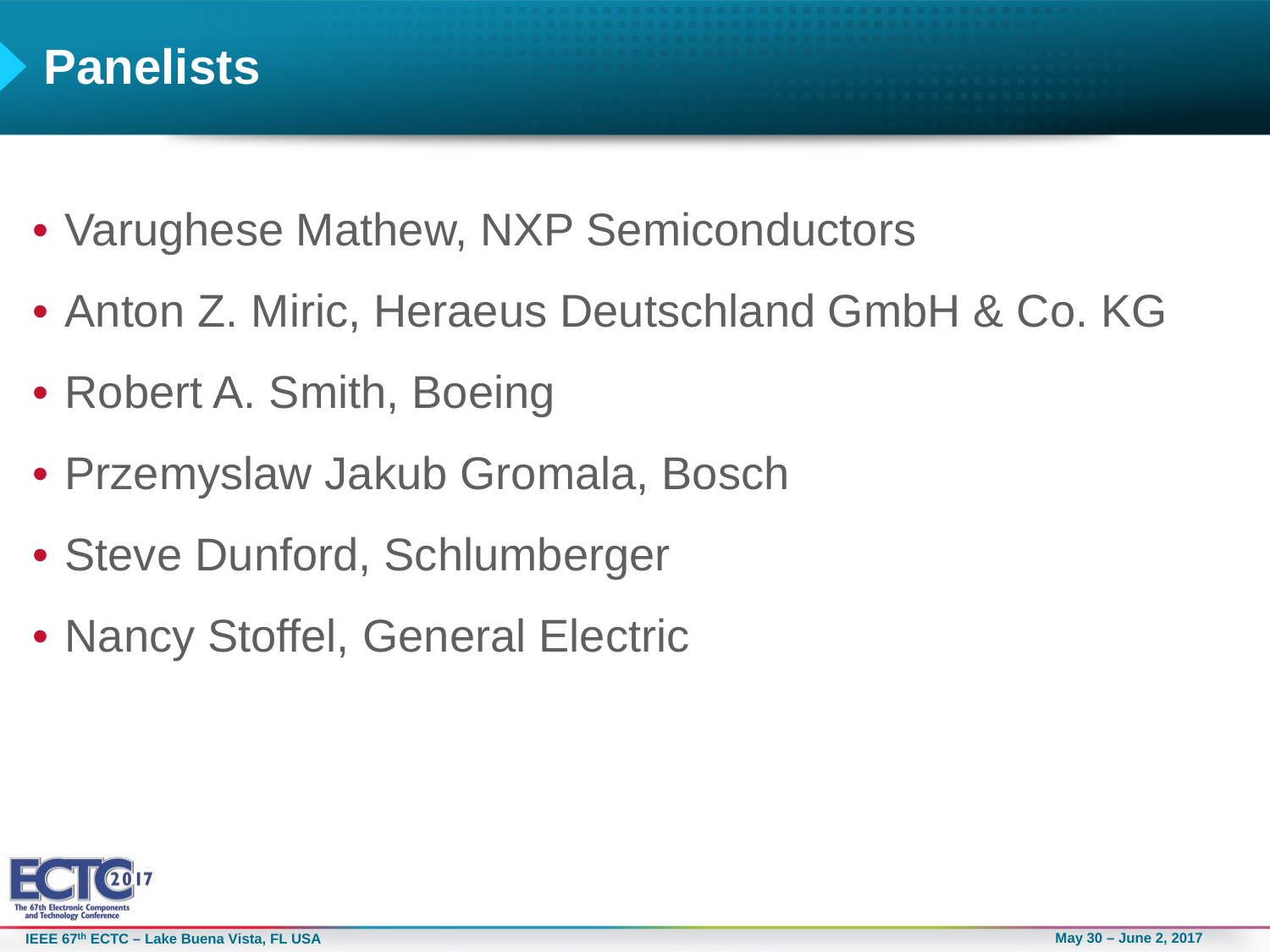

- Varughese Mathew, NXP Semiconductors
- Anton Z. Miric, Heraeus Deutschland GmbH & Co. KG
- Robert A. Smith, Boeing
- Przemyslaw Jakub Gromala, Bosch
- Steve Dunford, Schlumberger
- Nancy Stoffel, General Electric

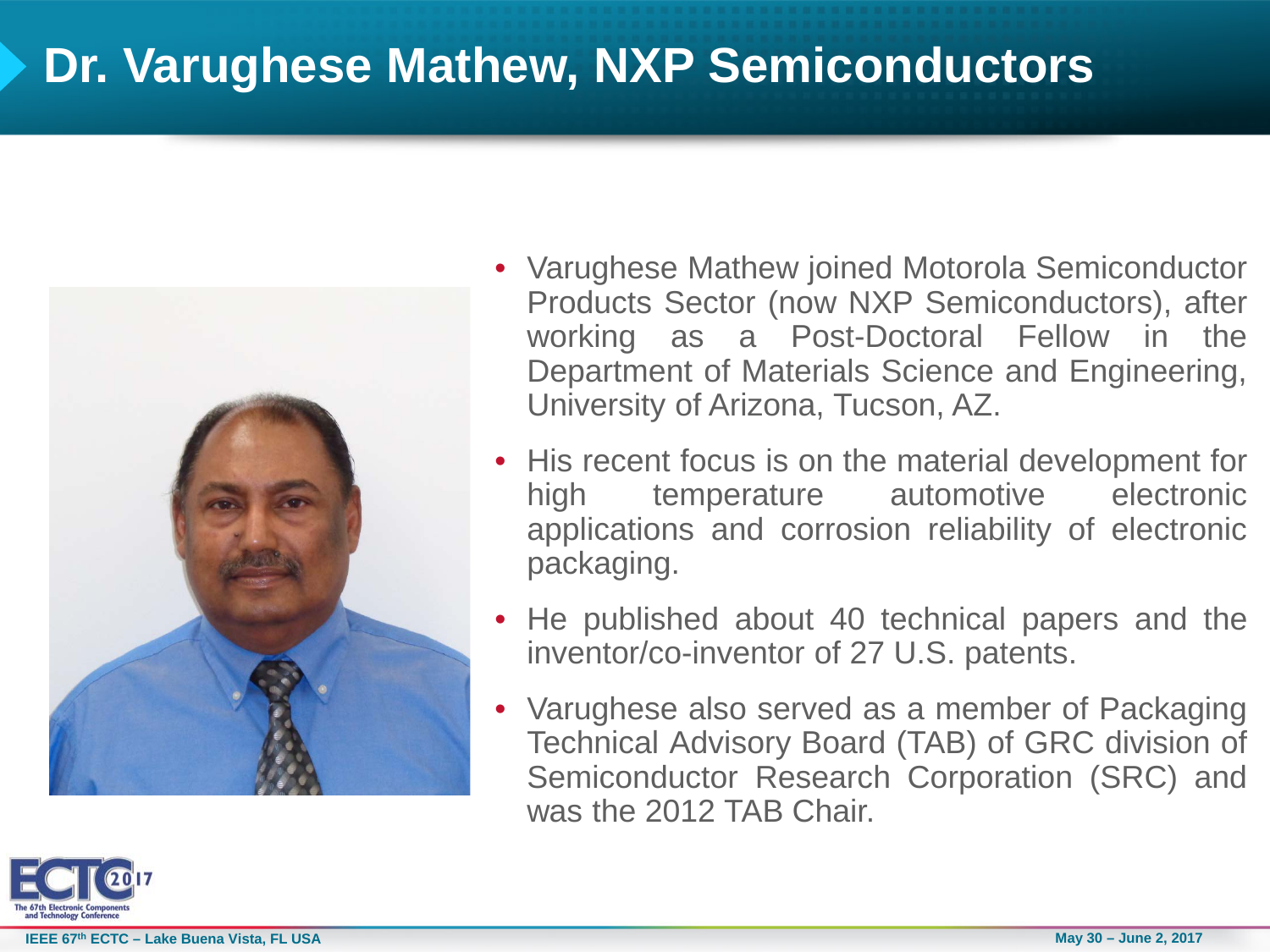# **Dr. Varughese Mathew, NXP Semiconductors**



- Varughese Mathew joined Motorola Semiconductor Products Sector (now NXP Semiconductors), after working as a Post-Doctoral Fellow in the Department of Materials Science and Engineering, University of Arizona, Tucson, AZ.
- His recent focus is on the material development for high temperature automotive electronic applications and corrosion reliability of electronic packaging.
- He published about 40 technical papers and the inventor/co-inventor of 27 U.S. patents.
- Varughese also served as a member of Packaging Technical Advisory Board (TAB) of GRC division of Semiconductor Research Corporation (SRC) and was the 2012 TAB Chair.

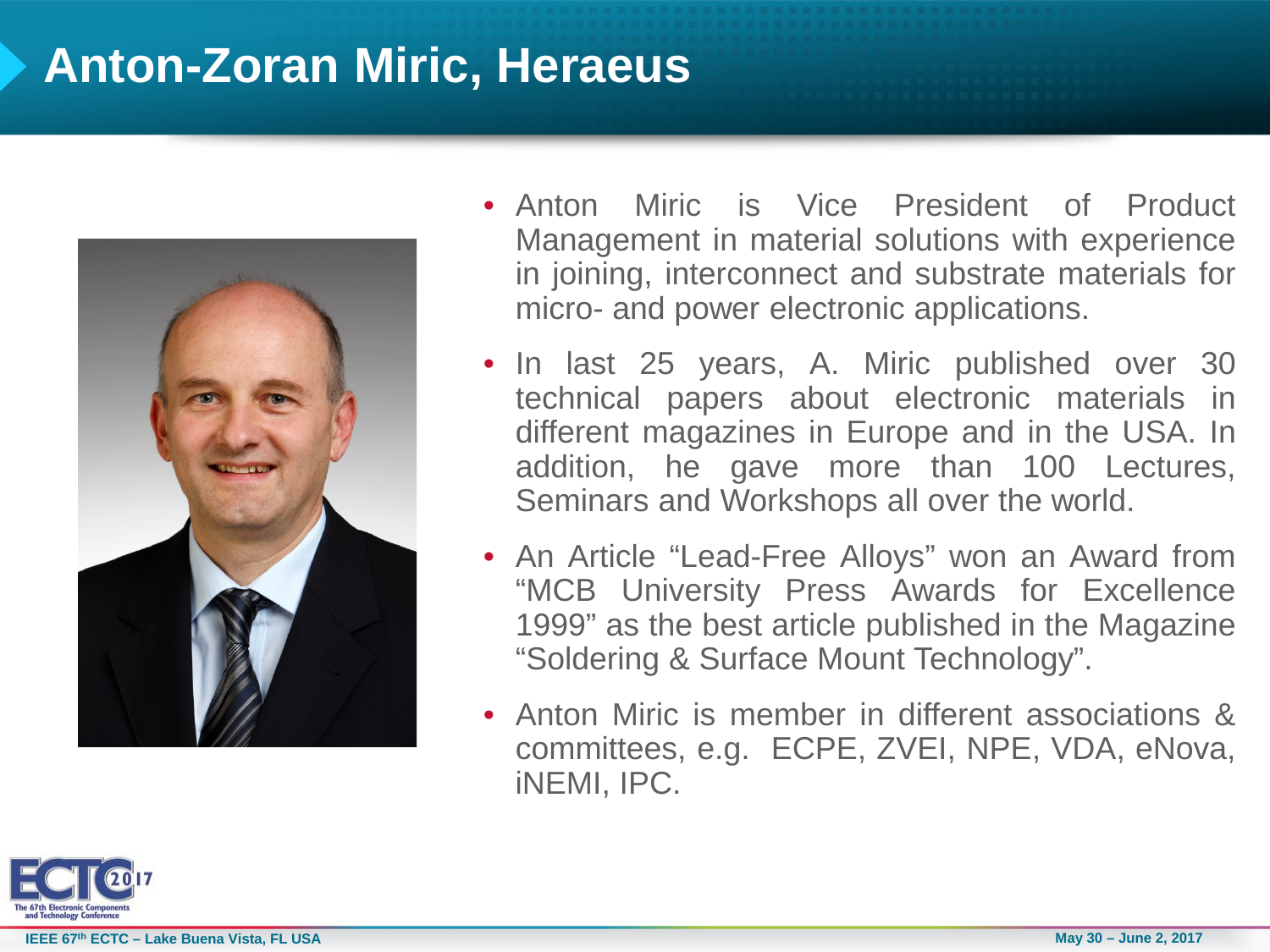# **Anton-Zoran Miric, Heraeus**



- Anton Miric is Vice President of Product Management in material solutions with experience in joining, interconnect and substrate materials for micro- and power electronic applications.
- In last 25 years, A. Miric published over 30 technical papers about electronic materials in different magazines in Europe and in the USA. In addition, he gave more than 100 Lectures, Seminars and Workshops all over the world.
- An Article "Lead-Free Alloys" won an Award from "MCB University Press Awards for Excellence 1999" as the best article published in the Magazine "Soldering & Surface Mount Technology".
- Anton Miric is member in different associations & committees, e.g. ECPE, ZVEI, NPE, VDA, eNova, iNEMI, IPC.

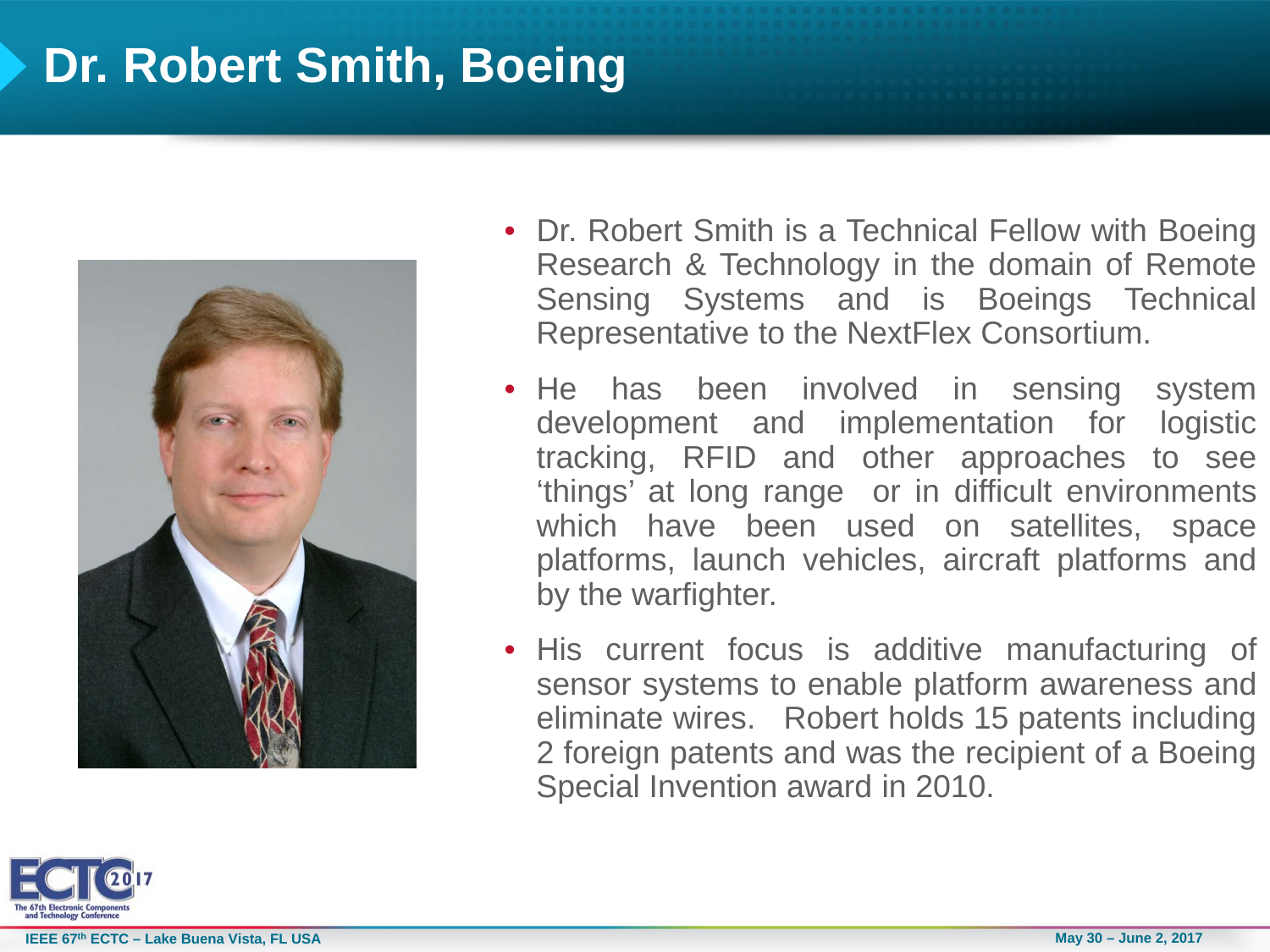#### **Dr. Robert Smith, Boeing**



- Dr. Robert Smith is a Technical Fellow with Boeing Research & Technology in the domain of Remote Sensing Systems and is Boeings Technical Representative to the NextFlex Consortium.
- He has been involved in sensing system development and implementation for logistic tracking, RFID and other approaches to see 'things' at long range or in difficult environments which have been used on satellites, space platforms, launch vehicles, aircraft platforms and by the warfighter.
- His current focus is additive manufacturing of sensor systems to enable platform awareness and eliminate wires. Robert holds 15 patents including 2 foreign patents and was the recipient of a Boeing Special Invention award in 2010.

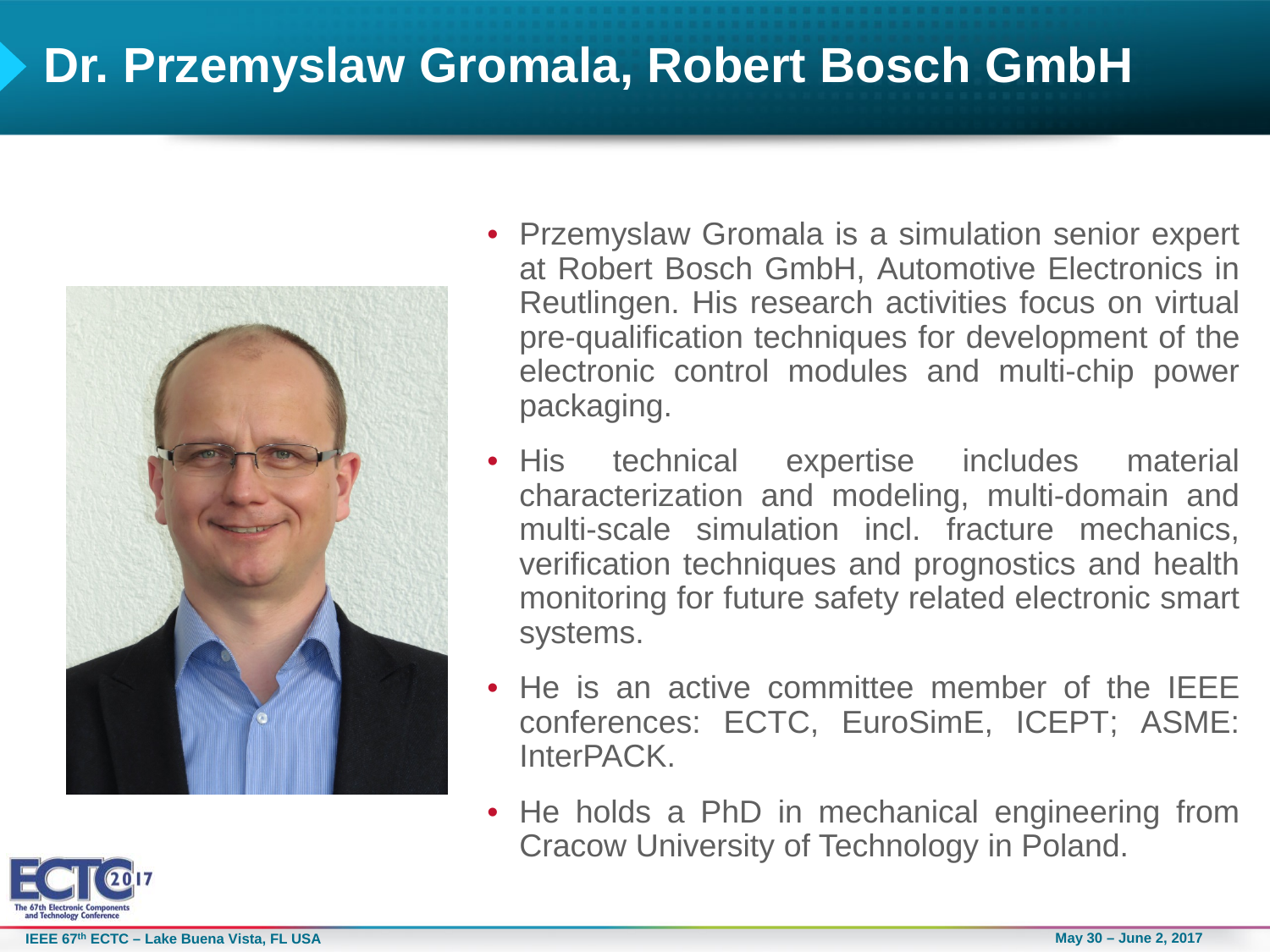# **Dr. Przemyslaw Gromala, Robert Bosch GmbH**



- Przemyslaw Gromala is a simulation senior expert at Robert Bosch GmbH, Automotive Electronics in Reutlingen. His research activities focus on virtual pre-qualification techniques for development of the electronic control modules and multi-chip power packaging.
- His technical expertise includes material characterization and modeling, multi-domain and multi-scale simulation incl. fracture mechanics, verification techniques and prognostics and health monitoring for future safety related electronic smart systems.
- He is an active committee member of the IEEE conferences: ECTC, EuroSimE, ICEPT; ASME: InterPACK.
- He holds a PhD in mechanical engineering from Cracow University of Technology in Poland.

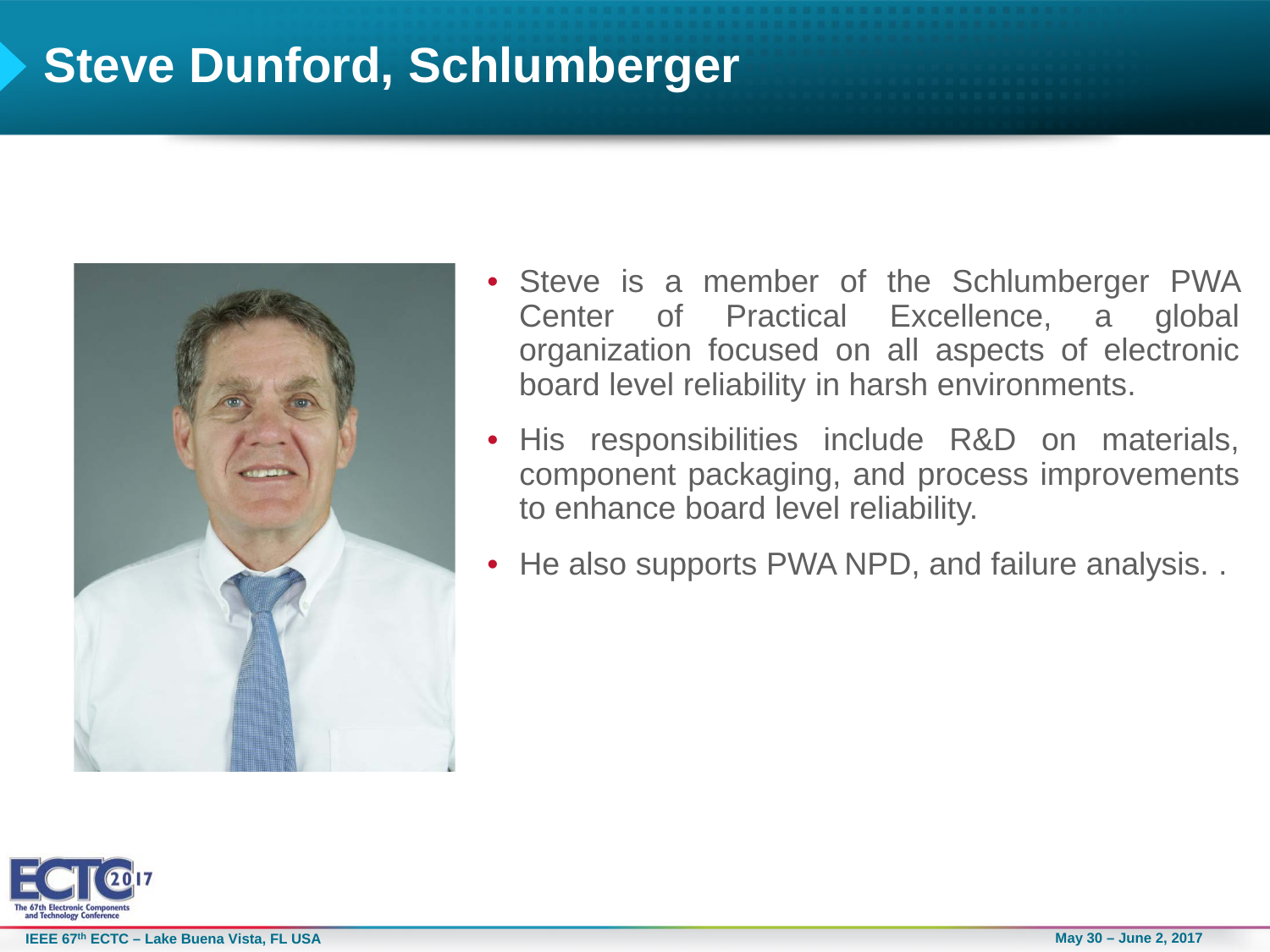### **Steve Dunford, Schlumberger**



- Steve is a member of the Schlumberger PWA Center of Practical Excellence, a global organization focused on all aspects of electronic board level reliability in harsh environments.
- His responsibilities include R&D on materials, component packaging, and process improvements to enhance board level reliability.
- He also supports PWA NPD, and failure analysis...